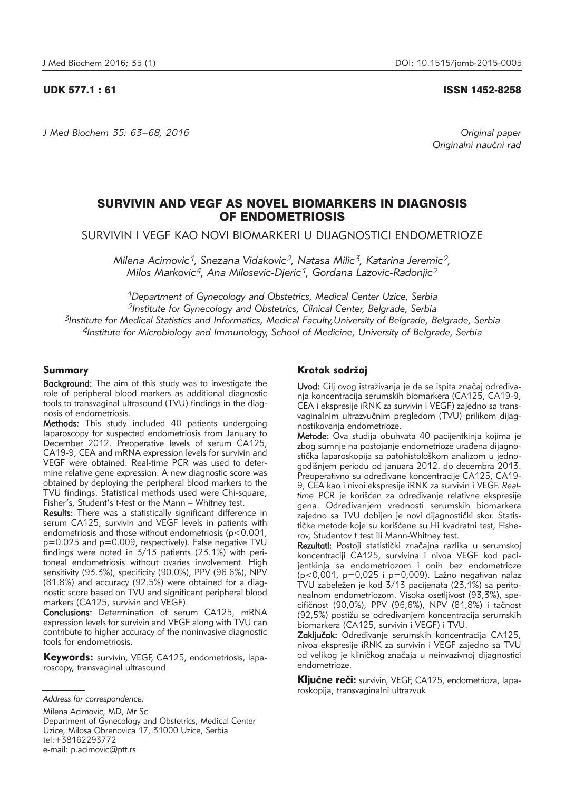## UDK 577.1 : 61 ISSN 1452-8258

*J Med Biochem 35: 63–68, 2016 Original paper*

Originalni naučni rad

# SURVIVIN AND VEGF AS NOVEL BIOMARKERS IN DIAGNOSIS OF ENDOMETRIOSIS

SURVIVIN I VEGF KAO NOVI BIOMARKERI U DIJAGNOSTICI ENDOMETRIOZE

*Milena Acimovic1, Snezana Vidakovic2, Natasa Milic3, Katarina Jeremic2, Milos Markovic4, Ana Milosevic-Djeric1, Gordana Lazovic-Radonjic2*

*1Department of Gynecology and Obstetrics, Medical Center Uzice, Serbia 2Institute for Gynecology and Obstetrics, Clinical Center, Belgrade, Serbia 3Institute for Medical Statistics and Informatics, Medical Faculty,University of Belgrade, Belgrade, Serbia 4Institute for Microbiology and Immunology, School of Medicine, University of Belgrade, Serbia*

## Summary

Background: The aim of this study was to investigate the role of peripheral blood markers as additional diagnostic tools to transvaginal ultrasound (TVU) findings in the diagnosis of endometriosis.

Methods: This study included 40 patients undergoing laparoscopy for suspected endometriosis from January to December 2012. Preoperative levels of serum CA125. CA19-9, CEA and mRNA expression levels for survivin and VEGF were obtained. Real-time PCR was used to determine relative gene expression. A new diagnostic score was obtained by deploying the peripheral blood markers to the TVU findings. Statistical methods used were Chi-square, Fisher's, Student's t-test or the Mann – Whitney test.

Results: There was a statistically significant difference in serum CA125, survivin and VEGF levels in patients with endometriosis and those without endometriosis (p<0.001, p=0.025 and p=0.009, respectively). False negative TVU findings were noted in 3/13 patients (23.1%) with peritoneal endometriosis without ovaries involvement. High sensitivity (93.3%), specificity (90.0%), PPV (96.6%), NPV (81.8%) and accuracy (92.5%) were obtained for a diagnostic score based on TVU and significant peripheral blood markers (CA125, survivin and VEGF).

Conclusions: Determination of serum CA125, mRNA expression levels for survivin and VEGF along with TVU can contribute to higher accuracy of the noninvasive diagnostic tools for endometriosis.

Keywords: survivin, VEGF, CA125, endometriosis, laparoscopy, transvaginal ultrasound

Milena Acimovic, MD, Mr Sc Department of Gynecology and Obstetrics, Medical Center Uzice, Milosa Obrenovica 17, 31000 Uzice, Serbia tel:+38162293772 e-mail: p.acimovic@ptt.rs

# Kratak sadržaj

Uvod: Cilj ovog istraživanja je da se ispita značaj određivanja koncentracija serumskih biomarkera (CA125, CA19-9, CEA i ekspresije iRNK za survivin i VEGF) zajedno sa transvaginalnim ultrazvučnim pregledom (TVU) prilikom dijagnostikovanja endometrioze.

Metode: Ova studija obuhvata 40 pacijentkinja kojima je zbog sumnje na postojanje endometrioze urađena dijagnostička laparoskopija sa patohistološkom analizom u jednogodišnjem periodu od januara 2012. do decembra 2013. Preoperativno su određivane koncentracije CA125, CA19-9, CEA kao i nivoi ekspresije iRNK za survivin i VEGF. *Real*time PCR je korišćen za određivanje relativne ekspresije gena. Određivanjem vrednosti serumskih biomarkera zajedno sa TVU dobijen je novi dijagnostički skor. Statističke metode koje su korišćene su Hi kvadratni test, Fisherov, Studentov t test ili Mann-Whitney test.

Rezultati: Postoji statistički značajna razlika u serumskoj koncentraciji CA125, survivina i nivoa VEGF kod pacijentkinja sa endometriozom i onih bez endometrioze  $(p<0,001, p=0,025$  i p=0,009). Lažno negativan nalaz TVU zabeležen je kod 3/13 pacijenata (23,1%) sa peritonealnom endometriozom. Visoka osetljivost (93,3%), spe  $cifičnost (90,0%), PPV (96,6%), NPV (81,8%) i tačnost$ (92,5%) postižu se određivanjem koncentracija serumskih biomarkera (CA125, survivin i VEGF) i TVU.

Zaključak: Određivanje serumskih koncentracija CA125, nivoa ekspresije iRNK za survivin i VEGF zajedno sa TVU od velikog je kliničkog značaja u neinvazivnoj dijagnostici endometrioze.

Ključne reči: survivin, VEGF, CA125, endometrioza, laparo skopija, transvaginalni ultrazvuk

*Address for correspondence:*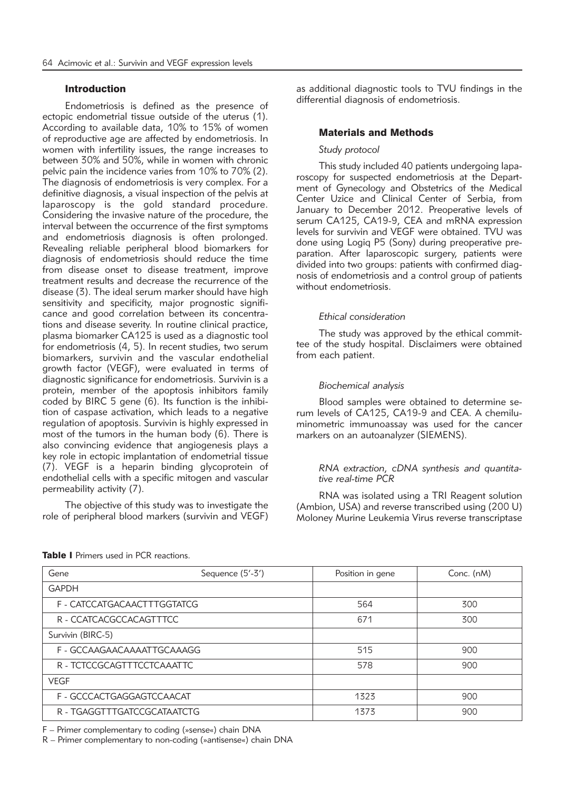## Introduction

Endometriosis is defined as the presence of ectopic endometrial tissue outside of the uterus (1). According to available data, 10% to 15% of women of reproductive age are affected by endometriosis. In women with infertility issues, the range increases to between 30% and 50%, while in women with chronic pelvic pain the incidence varies from 10% to 70% (2). The diagnosis of endometriosis is very complex. For a definitive diagnosis, a visual inspection of the pelvis at laparoscopy is the gold standard procedure. Considering the invasive nature of the procedure, the interval between the occurrence of the first symptoms and endometriosis diagnosis is often prolonged. Revealing reliable peripheral blood biomarkers for diagnosis of endometriosis should reduce the time from disease onset to disease treatment, improve treatment results and decrease the recurrence of the disease (3). The ideal serum marker should have high sensitivity and specificity, major prognostic significance and good correlation between its concentrations and disease severity. In routine clinical practice, plasma biomarker CA125 is used as a diagnostic tool for endometriosis (4, 5). In recent studies, two serum biomarkers, survivin and the vascular endothelial growth factor (VEGF), were evaluated in terms of diagnostic significance for endometriosis. Survivin is a protein, member of the apoptosis inhibitors family coded by BIRC 5 gene (6). Its function is the inhibition of caspase activation, which leads to a negative regulation of apoptosis. Survivin is highly expressed in most of the tumors in the human body (6). There is also convincing evidence that angiogenesis plays a key role in ectopic implantation of endometrial tissue (7). VEGF is a heparin binding glycoprotein of endothelial cells with a specific mitogen and vascular permeability activity (7).

The objective of this study was to investigate the role of peripheral blood markers (survivin and VEGF) as additional diagnostic tools to TVU findings in the differential diagnosis of endometriosis.

## Materials and Methods

#### *Study protocol*

This study included 40 patients undergoing laparoscopy for suspected endometriosis at the Department of Gynecology and Obstetrics of the Medical Center Uzice and Clinical Center of Serbia, from January to December 2012. Preoperative levels of serum CA125, CA19-9, CEA and mRNA expression levels for survivin and VEGF were obtained. TVU was done using Logiq P5 (Sony) during preoperative preparation. After laparoscopic surgery, patients were divided into two groups: patients with confirmed diagnosis of endometriosis and a control group of patients without endometriosis.

## *Ethical consideration*

The study was approved by the ethical committee of the study hospital. Disclaimers were obtained from each patient.

## *Biochemical analysis*

Blood samples were obtained to determine serum levels of CA125, CA19-9 and CEA. A chemiluminometric immunoassay was used for the cancer markers on an autoanalyzer (SIEMENS).

## *RNA extraction, cDNA synthesis and quantitative real-time PCR*

RNA was isolated using a TRI Reagent solution (Ambion, USA) and reverse transcribed using (200 U) Moloney Murine Leukemia Virus reverse transcriptase

| Gene                        | Sequence (5'-3') | Position in gene | Conc. (nM) |
|-----------------------------|------------------|------------------|------------|
| <b>GAPDH</b>                |                  |                  |            |
| F - CATCCATGACAACTTTGGTATCG |                  | 564              | 300        |
| R - CCATCACGCCACAGTTTCC     |                  | 671              | 300        |
| Survivin (BIRC-5)           |                  |                  |            |
| F - GCCAAGAACAAAATTGCAAAGG  |                  | 515              | 900        |
| R - TCTCCGCAGTTTCCTCAAATTC  |                  | 578              | 900        |
| <b>VEGF</b>                 |                  |                  |            |
| F - GCCCACTGAGGAGTCCAACAT   |                  | 1323             | 900        |
| R - TGAGGTTTGATCCGCATAATCTG |                  | 1373             | 900        |

Table I Primers used in PCR reactions.

F – Primer complementary to coding (»sense«) chain DNA

R – Primer complementary to non-coding (»antisense«) chain DNA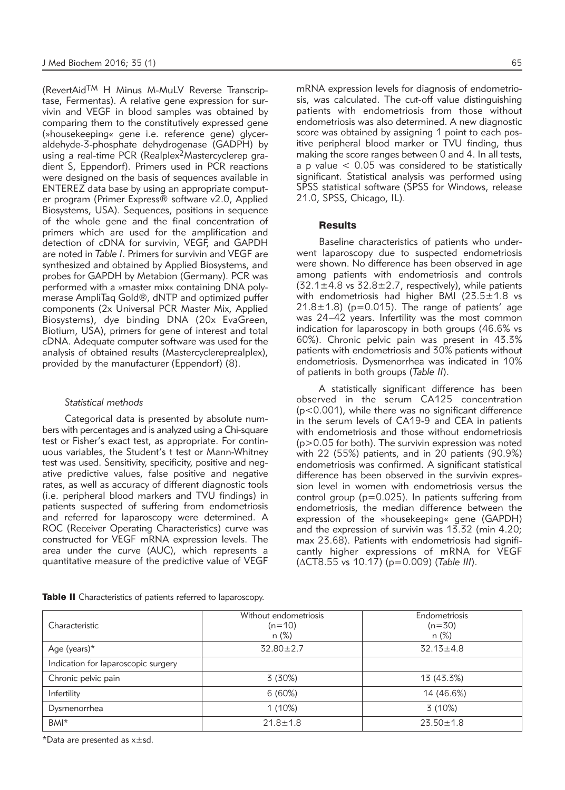(RevertAid<sup>TM</sup> H Minus M-MuLV Reverse Transcriptase, Fermentas). A relative gene expression for survivin and VEGF in blood samples was obtained by comparing them to the constitutively expressed gene (»housekeeping« gene i.e. reference gene) glyceraldehyde-3-phosphate dehydrogenase (GADPH) by using a real-time PCR (Realplex2Mastercyclerep gradient S, Eppendorf). Primers used in PCR reactions were designed on the basis of sequences available in ENTEREZ data base by using an appropriate computer program (Primer Express® software v2.0, Applied Biosystems, USA). Sequences, positions in sequence of the whole gene and the final concentration of primers which are used for the amplification and detection of cDNA for survivin, VEGF, and GAPDH are noted in *Table I*. Primers for survivin and VEGF are synthesized and obtained by Applied Biosystems, and probes for GAPDH by Metabion (Germany). PCR was performed with a »master mix« containing DNA polymerase AmpliTaq Gold®, dNTP and optimized puffer components (2x Universal PCR Master Mix, Applied Biosystems), dye binding DNA (20x EvaGreen, Biotium, USA), primers for gene of interest and total cDNA. Adequate computer software was used for the analysis of obtained results (Mastercyclereprealplex), provided by the manufacturer (Eppendorf) (8).

#### *Statistical methods*

Categorical data is presented by absolute numbers with percentages and is analyzed using a Chi-square test or Fisher's exact test, as appropriate. For continuous variables, the Student's t test or Mann-Whitney test was used. Sensitivity, specificity, positive and neqative predictive values, false positive and negative rates, as well as accuracy of different diagnostic tools (i.e. peripheral blood markers and TVU findings) in patients suspected of suffering from endometriosis and referred for laparoscopy were determined. A ROC (Receiver Operating Characteristics) curve was constructed for VEGF mRNA expression levels. The area under the curve (AUC), which represents a quantitative measure of the predictive value of VEGF

mRNA expression levels for diagnosis of endometriosis, was calculated. The cut-off value distinguishing patients with endometriosis from those without endometriosis was also determined. A new diagnostic score was obtained by assigning 1 point to each positive peripheral blood marker or TVU finding, thus making the score ranges between 0 and 4. In all tests, a p value  $<$  0.05 was considered to be statistically significant. Statistical analysis was performed using SPSS statistical software (SPSS for Windows, release 21.0, SPSS, Chicago, IL).

#### **Results**

Baseline characteristics of patients who underwent laparoscopy due to suspected endometriosis were shown. No difference has been observed in age among patients with endometriosis and controls  $(32.1 \pm 4.8 \text{ vs } 32.8 \pm 2.7, \text{ respectively})$ , while patients with endometriosis had higher BMI (23.5±1.8 vs  $21.8 \pm 1.8$ ) (p=0.015). The range of patients' age was 24–42 years. Infertility was the most common indication for laparoscopy in both groups (46.6% vs 60%). Chronic pelvic pain was present in 43.3% patients with endometriosis and 30% patients without endometriosis. Dysmenorrhea was indicated in 10% of patients in both groups (*Table II*).

A statistically significant difference has been observed in the serum CA125 concentration (p<0.001), while there was no significant difference in the serum levels of CA19-9 and CEA in patients with endometriosis and those without endometriosis (p>0.05 for both). The survivin expression was noted with 22 (55%) patients, and in 20 patients (90.9%) endometriosis was confirmed. A significant statistical difference has been observed in the survivin expression level in women with endometriosis versus the control group (p=0.025). In patients suffering from endometriosis, the median difference between the expression of the »housekeeping« gene (GAPDH) and the expression of survivin was 13.32 (min 4.20; max 23.68). Patients with endometriosis had significantly higher expressions of mRNA for VEGF (DCT8.55 vs 10.17) (p=0.009) (*Table III*).

| Table II Characteristics of patients referred to laparoscopy. |  |  |  |  |
|---------------------------------------------------------------|--|--|--|--|
|---------------------------------------------------------------|--|--|--|--|

| Characteristic                      | Without endometriosis<br>$(n=10)$<br>n (%) | <b>Endometriosis</b><br>$(n=30)$<br>n (%) |
|-------------------------------------|--------------------------------------------|-------------------------------------------|
| Age (years) $*$                     | $32.80 \pm 2.7$                            | $32.13 \pm 4.8$                           |
| Indication for laparoscopic surgery |                                            |                                           |
| Chronic pelvic pain                 | 3(30%)                                     | 13 (43.3%)                                |
| Infertility                         | 6(60%)                                     | 14 (46.6%)                                |
| Dysmenorrhea                        | $1(10\%)$                                  | 3(10%)                                    |
| BMI*                                | $21.8 \pm 1.8$                             | $23.50 \pm 1.8$                           |

\*Data are presented as x±sd.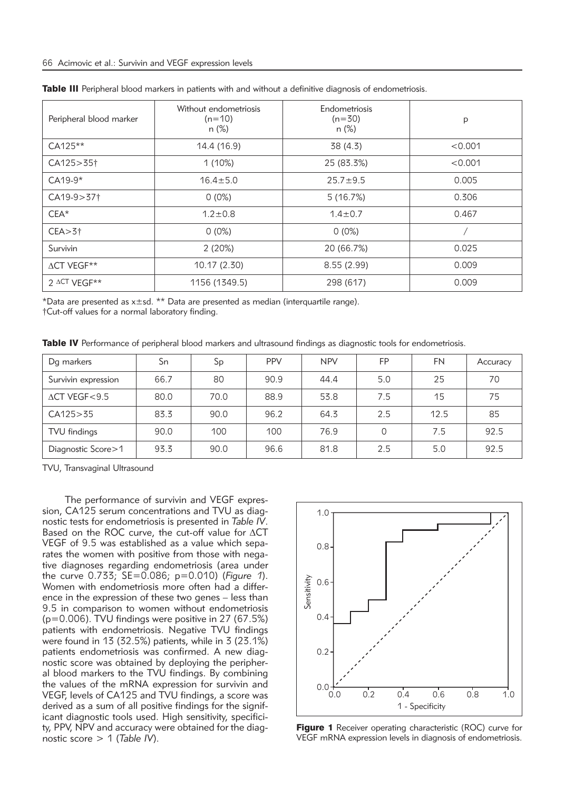| Peripheral blood marker | Without endometriosis<br>$(n=10)$<br>$n (\%)$ | Endometriosis<br>$(n=30)$<br>$n (\%)$ | p       |  |
|-------------------------|-----------------------------------------------|---------------------------------------|---------|--|
| CA125**                 | 14.4 (16.9)                                   | 38 (4.3)                              | < 0.001 |  |
| CA125 > 351             | 1(10%)                                        | 25 (83.3%)                            | < 0.001 |  |
| $CA19-9*$               | $16.4 \pm 5.0$                                | $25.7 + 9.5$                          | 0.005   |  |
| $CA19-9 > 371$          | $0(0\%)$                                      | 5(16.7%)                              | 0.306   |  |
| $CEA*$                  | $1.2 \pm 0.8$                                 | $1.4 \pm 0.7$                         | 0.467   |  |
| $CEA > 3+$              | $0(0\%)$                                      | $0(0\%)$                              |         |  |
| Survivin                | 2(20%)                                        | 20 (66.7%)                            | 0.025   |  |
| $\triangle$ CT VEGF**   | 10.17 (2.30)                                  | 8.55(2.99)                            | 0.009   |  |
| $2$ $\Delta$ CT VFGF**  | 1156 (1349.5)                                 | 298 (617)                             | 0.009   |  |

Table III Peripheral blood markers in patients with and without a definitive diagnosis of endometriosis.

\*Data are presented as  $x \pm sd$ . \*\* Data are presented as median (interquartile range).

†Cut-off values for a normal laboratory finding.

Table IV Performance of peripheral blood markers and ultrasound findings as diagnostic tools for endometriosis.

| Dg markers                | Sn   | Sp   | <b>PPV</b> | <b>NPV</b> | FP  | <b>FN</b> | Accuracy |
|---------------------------|------|------|------------|------------|-----|-----------|----------|
| Survivin expression       | 66.7 | 80   | 90.9       | 44.4       | 5.0 | 25        | 70       |
| $\triangle$ CT VEGF < 9.5 | 80.0 | 70.0 | 88.9       | 53.8       | 7.5 | 15        | 75       |
| CA125 > 35                | 83.3 | 90.0 | 96.2       | 64.3       | 2.5 | 12.5      | 85       |
| TVU findings              | 90.0 | 100  | 100        | 76.9       | 0   | 7.5       | 92.5     |
| Diagnostic Score > 1      | 93.3 | 90.0 | 96.6       | 81.8       | 2.5 | 5.0       | 92.5     |

TVU, Transvaginal Ultrasound

The performance of survivin and VEGF expression, CA125 serum concentrations and TVU as diagnostic tests for endometriosis is presented in *Table IV*. Based on the ROC curve, the cut-off value for  $\Delta CT$ VEGF of 9.5 was established as a value which separates the women with positive from those with negative diagnoses regarding endometriosis (area under the curve 0.733; SE=0.086; p=0.010) (*Figure 1*). Women with endometriosis more often had a difference in the expression of these two genes – less than 9.5 in comparison to women without endometriosis (p=0.006). TVU findings were positive in 27 (67.5%) patients with endometriosis. Negative TVU findings were found in 13 (32.5%) patients, while in 3 (23.1%) patients endometriosis was confirmed. A new diagnostic score was obtained by deploying the peripheral blood markers to the TVU findings. By combining the values of the mRNA expression for survivin and VEGF, levels of CA125 and TVU findings, a score was derived as a sum of all positive findings for the significant diagnostic tools used. High sensitivity, specificity, PPV, NPV and accuracy were obtained for the diagnostic score > 1 (*Table IV*).



Figure 1 Receiver operating characteristic (ROC) curve for VEGF mRNA expression levels in diagnosis of endometriosis.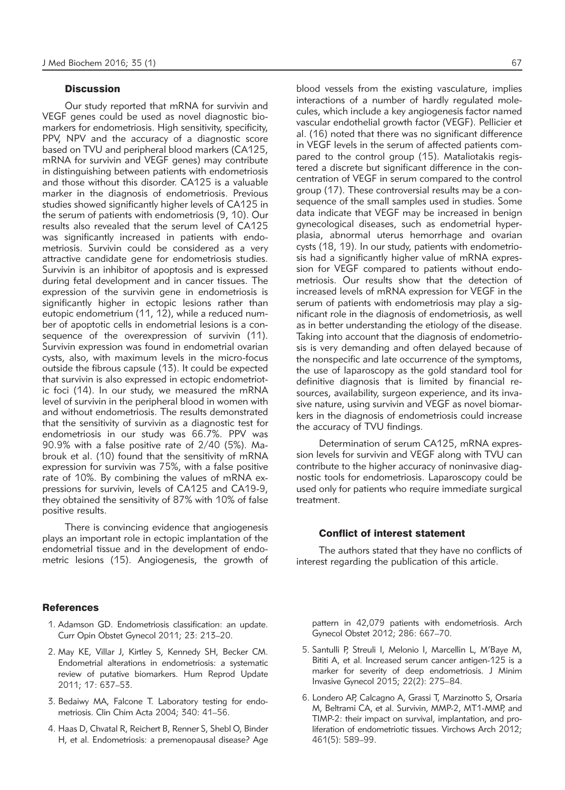#### **Discussion**

Our study reported that mRNA for survivin and VEGF genes could be used as novel diagnostic biomarkers for endometriosis. High sensitivity, specificity, PPV, NPV and the accuracy of a diagnostic score based on TVU and peripheral blood markers (CA125, mRNA for survivin and VEGF genes) may contribute in distinguishing between patients with endometriosis and those without this disorder. CA125 is a valuable marker in the diagnosis of endometriosis. Previous studies showed significantly higher levels of CA125 in the serum of patients with endometriosis (9, 10). Our results also revealed that the serum level of CA125 was significantly increased in patients with endometriosis. Survivin could be considered as a very attractive candidate gene for endometriosis studies. Survivin is an inhibitor of apoptosis and is expressed during fetal development and in cancer tissues. The expression of the survivin gene in endometriosis is significantly higher in ectopic lesions rather than eutopic endometrium (11, 12), while a reduced number of apoptotic cells in endometrial lesions is a consequence of the overexpression of survivin (11). Survivin expression was found in endometrial ovarian cysts, also, with maximum levels in the micro-focus outside the fibrous capsule (13). It could be expected that survivin is also expressed in ectopic endometriotic foci (14). In our study, we measured the mRNA level of survivin in the peripheral blood in women with and without endometriosis. The results demonstrated that the sensitivity of survivin as a diagnostic test for endometriosis in our study was 66.7%. PPV was  $90.9\%$  with a false positive rate of  $2/40$  (5%). Mabrouk et al. (10) found that the sensitivity of mRNA expression for survivin was 75%, with a false positive rate of 10%. By combining the values of mRNA expressions for survivin, levels of CA125 and CA19-9, they obtained the sensitivity of 87% with 10% of false positive results.

There is convincing evidence that angiogenesis plays an important role in ectopic implantation of the endometrial tissue and in the development of endometric lesions (15). Angiogenesis, the growth of

#### **References**

- 1. Adamson GD. Endometriosis classification: an update. Curr Opin Obstet Gynecol 2011; 23: 213–20.
- 2. May KE, Villar J, Kirtley S, Kennedy SH, Becker CM. Endometrial alterations in endometriosis: a systematic review of putative biomarkers. Hum Reprod Update 2011; 17: 637–53.
- 3. Bedaiwy MA, Falcone T. Laboratory testing for endo metriosis. Clin Chim Acta 2004; 340: 41–56.
- 4. Haas D, Chvatal R, Reichert B, Renner S, Shebl O, Binder H, et al. Endometriosis: a premenopausal disease? Age

blood vessels from the existing vasculature, implies interactions of a number of hardly regulated molecules, which include a key angiogenesis factor named vascular endothelial growth factor (VEGF). Pellicier et al. (16) noted that there was no significant difference in VEGF levels in the serum of affected patients compared to the control group (15). Mataliotakis registered a discrete but significant difference in the concentration of VEGF in serum compared to the control group (17). These controversial results may be a consequence of the small samples used in studies. Some data indicate that VEGF may be increased in benign gynecological diseases, such as endometrial hyperplasia, abnormal uterus hemorrhage and ovarian cysts (18, 19). In our study, patients with endometriosis had a significantly higher value of mRNA expression for VEGF compared to patients without endometriosis. Our results show that the detection of increased levels of mRNA expression for VEGF in the serum of patients with endometriosis may play a significant role in the diagnosis of endometriosis, as well as in better understanding the etiology of the disease. Taking into account that the diagnosis of endometriosis is very demanding and often delayed because of the nonspecific and late occurrence of the symptoms, the use of laparoscopy as the gold standard tool for definitive diagnosis that is limited by financial resources, availability, surgeon experience, and its invasive nature, using survivin and VEGF as novel biomarkers in the diagnosis of endometriosis could increase the accuracy of TVU findings.

Determination of serum CA125, mRNA expression levels for survivin and VEGF along with TVU can contribute to the higher accuracy of noninvasive diagnostic tools for endometriosis. Laparoscopy could be used only for patients who require immediate surgical treatment.

#### Conflict of interest statement

The authors stated that they have no conflicts of interest regarding the publication of this article.

pattern in 42,079 patients with endometriosis. Arch Gynecol Obstet 2012; 286: 667–70.

- 5. Santulli P, Streuli I, Melonio I, Marcellin L, M'Baye M, Bititi A, et al. Increased serum cancer antigen-125 is a marker for severity of deep endometriosis. J Minim Invasive Gynecol 2015; 22(2): 275–84.
- 6. Londero AP, Calcagno A, Grassi T, Marzinotto S, Orsaria M, Beltrami CA, et al. Survivin, MMP-2, MT1-MMP, and TIMP-2: their impact on survival, implantation, and proliferation of endometriotic tissues. Virchows Arch 2012; 461(5): 589–99.